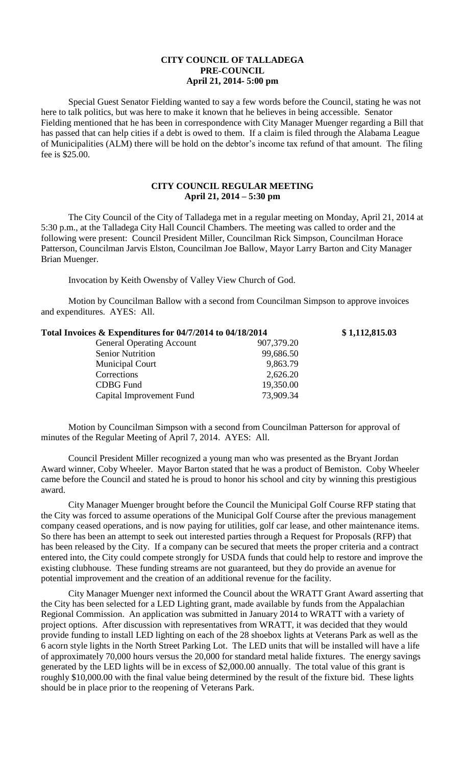## **CITY COUNCIL OF TALLADEGA PRE-COUNCIL April 21, 2014- 5:00 pm**

Special Guest Senator Fielding wanted to say a few words before the Council, stating he was not here to talk politics, but was here to make it known that he believes in being accessible. Senator Fielding mentioned that he has been in correspondence with City Manager Muenger regarding a Bill that has passed that can help cities if a debt is owed to them. If a claim is filed through the Alabama League of Municipalities (ALM) there will be hold on the debtor's income tax refund of that amount. The filing fee is \$25.00.

## **CITY COUNCIL REGULAR MEETING April 21, 2014 – 5:30 pm**

The City Council of the City of Talladega met in a regular meeting on Monday, April 21, 2014 at 5:30 p.m., at the Talladega City Hall Council Chambers. The meeting was called to order and the following were present: Council President Miller, Councilman Rick Simpson, Councilman Horace Patterson, Councilman Jarvis Elston, Councilman Joe Ballow, Mayor Larry Barton and City Manager Brian Muenger.

Invocation by Keith Owensby of Valley View Church of God.

Motion by Councilman Ballow with a second from Councilman Simpson to approve invoices and expenditures. AYES: All.

| Total Invoices & Expenditures for 04/7/2014 to 04/18/2014 | \$1,112,815.03 |
|-----------------------------------------------------------|----------------|
| <b>General Operating Account</b><br>907,379.20            |                |
| <b>Senior Nutrition</b><br>99,686.50                      |                |
| 9,863.79<br><b>Municipal Court</b>                        |                |
| Corrections<br>2,626.20                                   |                |
| 19,350.00<br><b>CDBG</b> Fund                             |                |
| 73,909.34<br>Capital Improvement Fund                     |                |

Motion by Councilman Simpson with a second from Councilman Patterson for approval of minutes of the Regular Meeting of April 7, 2014. AYES: All.

Council President Miller recognized a young man who was presented as the Bryant Jordan Award winner, Coby Wheeler. Mayor Barton stated that he was a product of Bemiston. Coby Wheeler came before the Council and stated he is proud to honor his school and city by winning this prestigious award.

City Manager Muenger brought before the Council the Municipal Golf Course RFP stating that the City was forced to assume operations of the Municipal Golf Course after the previous management company ceased operations, and is now paying for utilities, golf car lease, and other maintenance items. So there has been an attempt to seek out interested parties through a Request for Proposals (RFP) that has been released by the City. If a company can be secured that meets the proper criteria and a contract entered into, the City could compete strongly for USDA funds that could help to restore and improve the existing clubhouse. These funding streams are not guaranteed, but they do provide an avenue for potential improvement and the creation of an additional revenue for the facility.

City Manager Muenger next informed the Council about the WRATT Grant Award asserting that the City has been selected for a LED Lighting grant, made available by funds from the Appalachian Regional Commission. An application was submitted in January 2014 to WRATT with a variety of project options. After discussion with representatives from WRATT, it was decided that they would provide funding to install LED lighting on each of the 28 shoebox lights at Veterans Park as well as the 6 acorn style lights in the North Street Parking Lot. The LED units that will be installed will have a life of approximately 70,000 hours versus the 20,000 for standard metal halide fixtures. The energy savings generated by the LED lights will be in excess of \$2,000.00 annually. The total value of this grant is roughly \$10,000.00 with the final value being determined by the result of the fixture bid. These lights should be in place prior to the reopening of Veterans Park.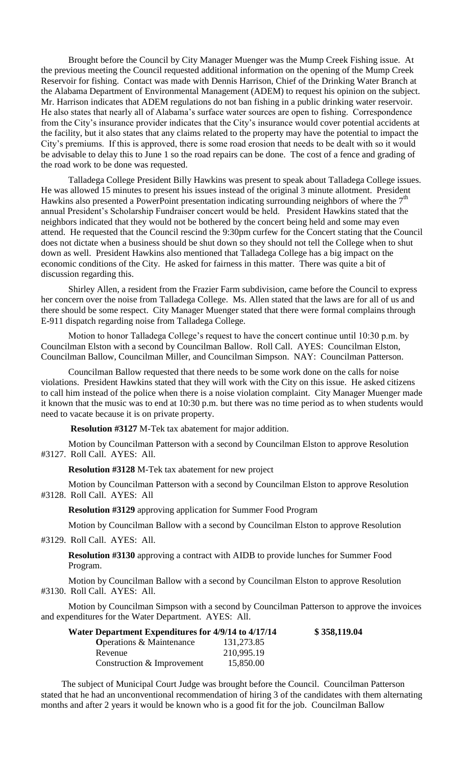Brought before the Council by City Manager Muenger was the Mump Creek Fishing issue. At the previous meeting the Council requested additional information on the opening of the Mump Creek Reservoir for fishing. Contact was made with Dennis Harrison, Chief of the Drinking Water Branch at the Alabama Department of Environmental Management (ADEM) to request his opinion on the subject. Mr. Harrison indicates that ADEM regulations do not ban fishing in a public drinking water reservoir. He also states that nearly all of Alabama's surface water sources are open to fishing. Correspondence from the City's insurance provider indicates that the City's insurance would cover potential accidents at the facility, but it also states that any claims related to the property may have the potential to impact the City's premiums. If this is approved, there is some road erosion that needs to be dealt with so it would be advisable to delay this to June 1 so the road repairs can be done. The cost of a fence and grading of the road work to be done was requested.

Talladega College President Billy Hawkins was present to speak about Talladega College issues. He was allowed 15 minutes to present his issues instead of the original 3 minute allotment. President Hawkins also presented a PowerPoint presentation indicating surrounding neighbors of where the  $7<sup>th</sup>$ annual President's Scholarship Fundraiser concert would be held. President Hawkins stated that the neighbors indicated that they would not be bothered by the concert being held and some may even attend. He requested that the Council rescind the 9:30pm curfew for the Concert stating that the Council does not dictate when a business should be shut down so they should not tell the College when to shut down as well. President Hawkins also mentioned that Talladega College has a big impact on the economic conditions of the City. He asked for fairness in this matter. There was quite a bit of discussion regarding this.

Shirley Allen, a resident from the Frazier Farm subdivision, came before the Council to express her concern over the noise from Talladega College. Ms. Allen stated that the laws are for all of us and there should be some respect. City Manager Muenger stated that there were formal complains through E-911 dispatch regarding noise from Talladega College.

Motion to honor Talladega College's request to have the concert continue until 10:30 p.m. by Councilman Elston with a second by Councilman Ballow. Roll Call. AYES: Councilman Elston, Councilman Ballow, Councilman Miller, and Councilman Simpson. NAY: Councilman Patterson.

Councilman Ballow requested that there needs to be some work done on the calls for noise violations. President Hawkins stated that they will work with the City on this issue. He asked citizens to call him instead of the police when there is a noise violation complaint. City Manager Muenger made it known that the music was to end at 10:30 p.m. but there was no time period as to when students would need to vacate because it is on private property.

**Resolution #3127** M-Tek tax abatement for major addition.

Motion by Councilman Patterson with a second by Councilman Elston to approve Resolution #3127. Roll Call. AYES: All.

**Resolution #3128** M-Tek tax abatement for new project

Motion by Councilman Patterson with a second by Councilman Elston to approve Resolution #3128. Roll Call. AYES: All

**Resolution #3129** approving application for Summer Food Program

Motion by Councilman Ballow with a second by Councilman Elston to approve Resolution

#3129. Roll Call. AYES: All.

**Resolution #3130** approving a contract with AIDB to provide lunches for Summer Food Program.

Motion by Councilman Ballow with a second by Councilman Elston to approve Resolution #3130. Roll Call. AYES: All.

Motion by Councilman Simpson with a second by Councilman Patterson to approve the invoices and expenditures for the Water Department. AYES: All.

| Water Department Expenditures for 4/9/14 to 4/17/14 |            | \$358,119.04 |
|-----------------------------------------------------|------------|--------------|
| <b>Operations &amp; Maintenance</b>                 | 131,273.85 |              |
| Revenue                                             | 210,995.19 |              |
| Construction & Improvement                          | 15,850.00  |              |

The subject of Municipal Court Judge was brought before the Council. Councilman Patterson stated that he had an unconventional recommendation of hiring 3 of the candidates with them alternating months and after 2 years it would be known who is a good fit for the job. Councilman Ballow